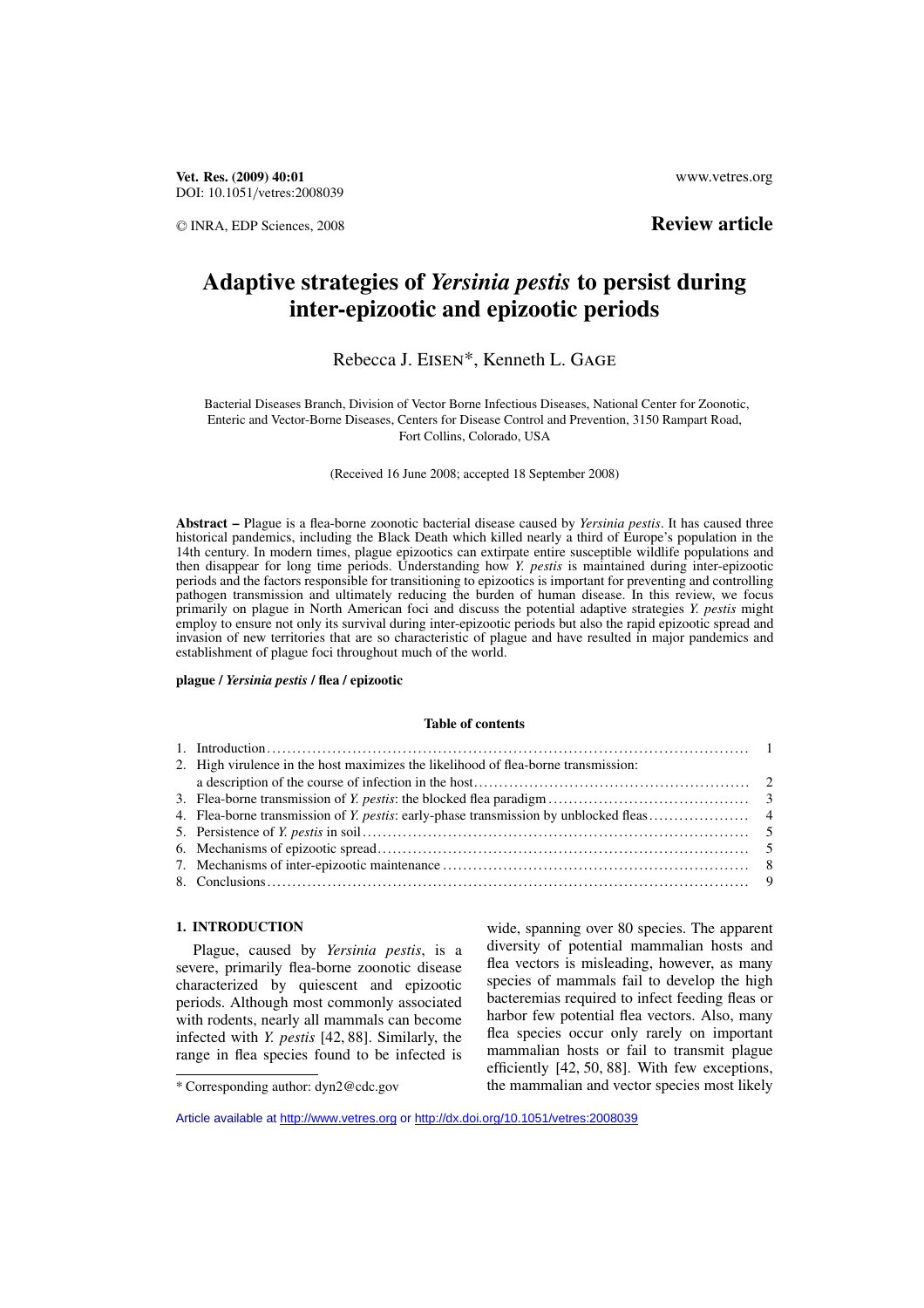**Vet. Res. (2009) 40:01** www.vetres.org DOI: 10.1051/vetres:2008039

<sup>C</sup> INRA, EDP Sciences, 2008 **Review article**

# **Adaptive strategies of** *Yersinia pestis* **to persist during inter-epizootic and epizootic periods**

# Rebecca J. Eisen\*, Kenneth L. Gage

Bacterial Diseases Branch, Division of Vector Borne Infectious Diseases, National Center for Zoonotic, Enteric and Vector-Borne Diseases, Centers for Disease Control and Prevention, 3150 Rampart Road, Fort Collins, Colorado, USA

(Received 16 June 2008; accepted 18 September 2008)

**Abstract –** Plague is a flea-borne zoonotic bacterial disease caused by *Yersinia pestis*. It has caused three historical pandemics, including the Black Death which killed nearly a third of Europe's population in the 14th century. In modern times, plague epizootics can extirpate entire susceptible wildlife populations and then disappear for long time periods. Understanding how *Y. pestis* is maintained during inter-epizootic periods and the factors responsible for transitioning to epizootics is important for preventing and controlling pathogen transmission and ultimately reducing the burden of human disease. In this review, we focus primarily on plague in North American foci and discuss the potential adaptive strategies *Y. pestis* might employ to ensure not only its survival during inter-epizootic periods but also the rapid epizootic spread and invasion of new territories that are so characteristic of plague and have resulted in major pandemics and establishment of plague foci throughout much of the world.

#### **plague /** *Yersinia pestis* **/ flea / epizootic**

#### **Table of contents**

| 2. High virulence in the host maximizes the likelihood of flea-borne transmission: |  |
|------------------------------------------------------------------------------------|--|
|                                                                                    |  |
|                                                                                    |  |
|                                                                                    |  |
|                                                                                    |  |
|                                                                                    |  |
|                                                                                    |  |
|                                                                                    |  |
|                                                                                    |  |

# **1. INTRODUCTION**

Plague, caused by *Yersinia pestis*, is a severe, primarily flea-borne zoonotic disease characterized by quiescent and epizootic periods. Although most commonly associated with rodents, nearly all mammals can become infected with *Y. pestis* [42, 88]. Similarly, the range in flea species found to be infected is

wide, spanning over 80 species. The apparent diversity of potential mammalian hosts and flea vectors is misleading, however, as many species of mammals fail to develop the high bacteremias required to infect feeding fleas or harbor few potential flea vectors. Also, many flea species occur only rarely on important mammalian hosts or fail to transmit plague efficiently [42, 50, 88]. With few exceptions, the mammalian and vector species most likely

<sup>\*</sup> Corresponding author: dyn2@cdc.gov

Article available at<http://www.vetres.org>or<http://dx.doi.org/10.1051/vetres:2008039>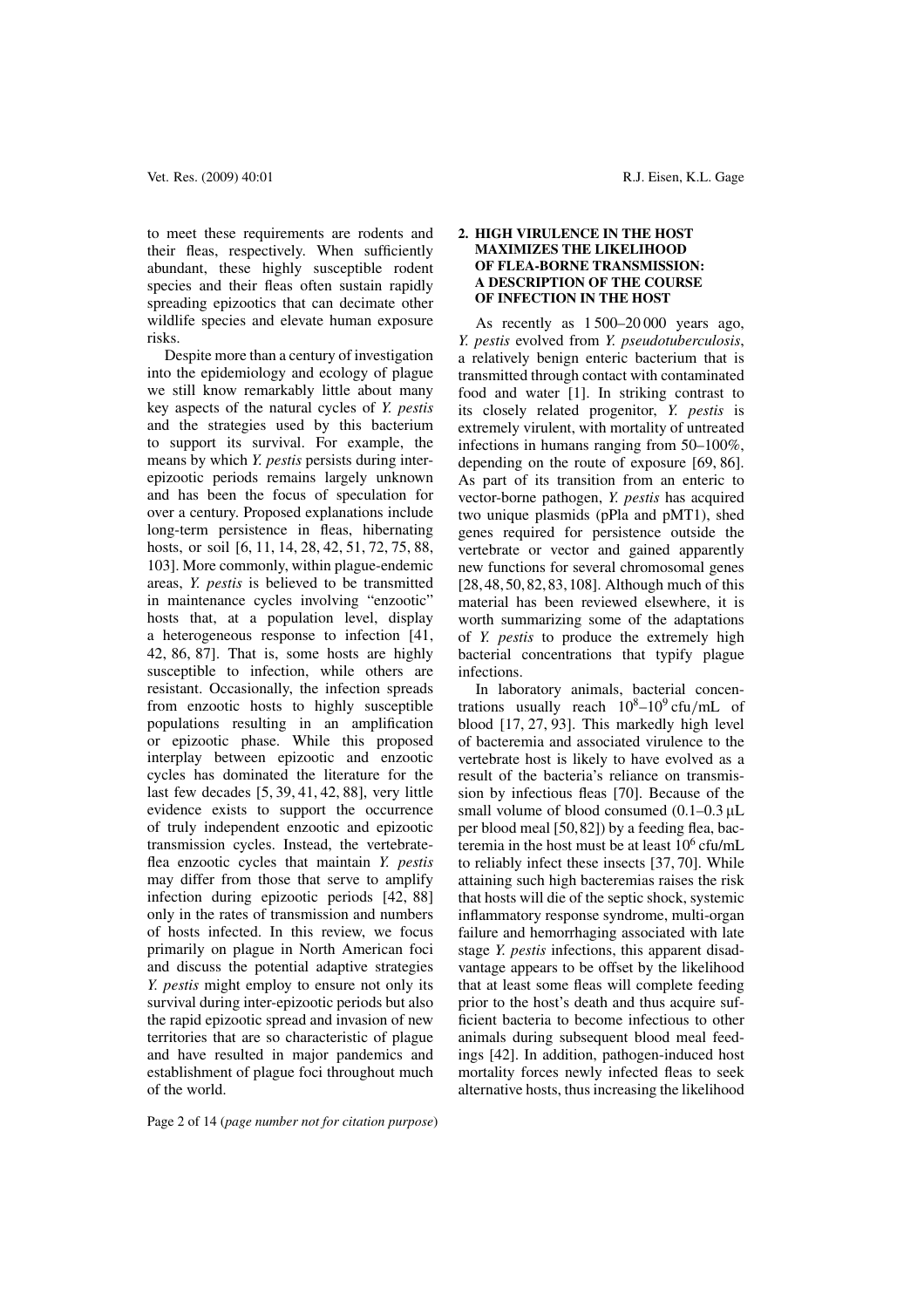to meet these requirements are rodents and their fleas, respectively. When sufficiently abundant, these highly susceptible rodent species and their fleas often sustain rapidly spreading epizootics that can decimate other wildlife species and elevate human exposure risks.

Despite more than a century of investigation into the epidemiology and ecology of plague we still know remarkably little about many key aspects of the natural cycles of *Y. pestis* and the strategies used by this bacterium to support its survival. For example, the means by which *Y. pestis* persists during interepizootic periods remains largely unknown and has been the focus of speculation for over a century. Proposed explanations include long-term persistence in fleas, hibernating hosts, or soil [6, 11, 14, 28, 42, 51, 72, 75, 88, 103]. More commonly, within plague-endemic areas, *Y. pestis* is believed to be transmitted in maintenance cycles involving "enzootic" hosts that, at a population level, display a heterogeneous response to infection [41, 42, 86, 87]. That is, some hosts are highly susceptible to infection, while others are resistant. Occasionally, the infection spreads from enzootic hosts to highly susceptible populations resulting in an amplification or epizootic phase. While this proposed interplay between epizootic and enzootic cycles has dominated the literature for the last few decades [5, 39, 41, 42, 88], very little evidence exists to support the occurrence of truly independent enzootic and epizootic transmission cycles. Instead, the vertebrateflea enzootic cycles that maintain *Y. pestis* may differ from those that serve to amplify infection during epizootic periods [42, 88] only in the rates of transmission and numbers of hosts infected. In this review, we focus primarily on plague in North American foci and discuss the potential adaptive strategies *Y. pestis* might employ to ensure not only its survival during inter-epizootic periods but also the rapid epizootic spread and invasion of new territories that are so characteristic of plague and have resulted in major pandemics and establishment of plague foci throughout much of the world.

### **2. HIGH VIRULENCE IN THE HOST MAXIMIZES THE LIKELIHOOD OF FLEA-BORNE TRANSMISSION: A DESCRIPTION OF THE COURSE OF INFECTION IN THE HOST**

As recently as 1 500–20 000 years ago, *Y. pestis* evolved from *Y. pseudotuberculosis*, a relatively benign enteric bacterium that is transmitted through contact with contaminated food and water [1]. In striking contrast to its closely related progenitor, *Y. pestis* is extremely virulent, with mortality of untreated infections in humans ranging from 50–100%, depending on the route of exposure [69, 86]. As part of its transition from an enteric to vector-borne pathogen, *Y. pestis* has acquired two unique plasmids (pPla and pMT1), shed genes required for persistence outside the vertebrate or vector and gained apparently new functions for several chromosomal genes [28, 48, 50, 82, 83, 108]. Although much of this material has been reviewed elsewhere, it is worth summarizing some of the adaptations of *Y. pestis* to produce the extremely high bacterial concentrations that typify plague infections.

In laboratory animals, bacterial concentrations usually reach  $10^8-10^9$  cfu/mL of blood [17, 27, 93]. This markedly high level of bacteremia and associated virulence to the vertebrate host is likely to have evolved as a result of the bacteria's reliance on transmission by infectious fleas [70]. Because of the small volume of blood consumed  $(0.1-0.3 \mu L)$ per blood meal [50,82]) by a feeding flea, bacteremia in the host must be at least  $10^6$  cfu/mL to reliably infect these insects [37, 70]. While attaining such high bacteremias raises the risk that hosts will die of the septic shock, systemic inflammatory response syndrome, multi-organ failure and hemorrhaging associated with late stage *Y. pestis* infections, this apparent disadvantage appears to be offset by the likelihood that at least some fleas will complete feeding prior to the host's death and thus acquire sufficient bacteria to become infectious to other animals during subsequent blood meal feedings [42]. In addition, pathogen-induced host mortality forces newly infected fleas to seek alternative hosts, thus increasing the likelihood

Page 2 of 14 (*page number not for citation purpose*)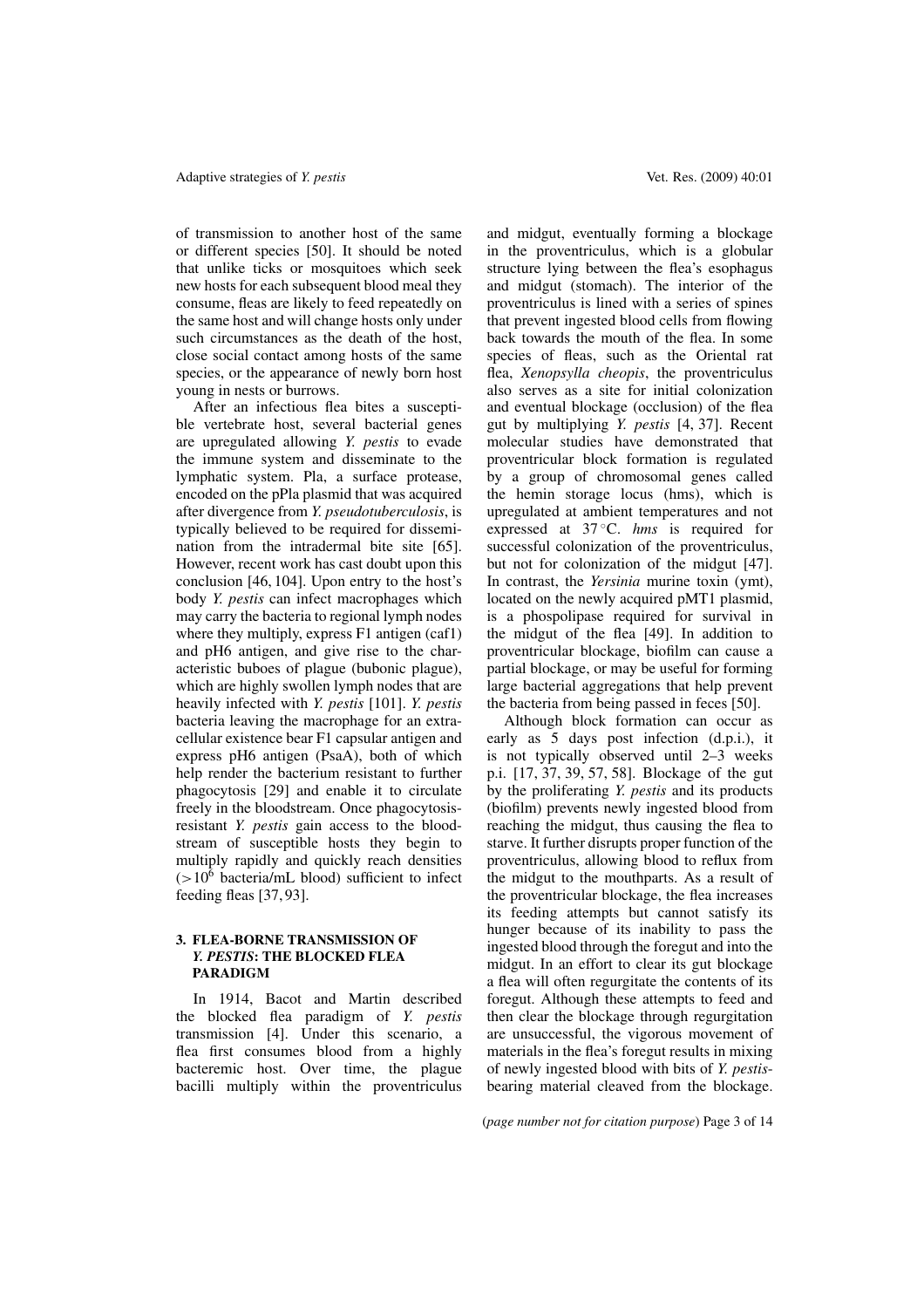of transmission to another host of the same or different species [50]. It should be noted that unlike ticks or mosquitoes which seek new hosts for each subsequent blood meal they consume, fleas are likely to feed repeatedly on the same host and will change hosts only under such circumstances as the death of the host, close social contact among hosts of the same species, or the appearance of newly born host young in nests or burrows.

After an infectious flea bites a susceptible vertebrate host, several bacterial genes are upregulated allowing *Y. pestis* to evade the immune system and disseminate to the lymphatic system. Pla, a surface protease, encoded on the pPla plasmid that was acquired after divergence from *Y. pseudotuberculosis*, is typically believed to be required for dissemination from the intradermal bite site [65]. However, recent work has cast doubt upon this conclusion [46, 104]. Upon entry to the host's body *Y. pestis* can infect macrophages which may carry the bacteria to regional lymph nodes where they multiply, express F1 antigen (caf1) and pH6 antigen, and give rise to the characteristic buboes of plague (bubonic plague), which are highly swollen lymph nodes that are heavily infected with *Y. pestis* [101]. *Y. pestis* bacteria leaving the macrophage for an extracellular existence bear F1 capsular antigen and express pH6 antigen (PsaA), both of which help render the bacterium resistant to further phagocytosis [29] and enable it to circulate freely in the bloodstream. Once phagocytosisresistant *Y. pestis* gain access to the bloodstream of susceptible hosts they begin to multiply rapidly and quickly reach densities  $(>10^6$  bacteria/mL blood) sufficient to infect feeding fleas [37, 93].

### **3. FLEA-BORNE TRANSMISSION OF** *Y. PESTIS***: THE BLOCKED FLEA PARADIGM**

In 1914, Bacot and Martin described the blocked flea paradigm of *Y. pestis* transmission [4]. Under this scenario, a flea first consumes blood from a highly bacteremic host. Over time, the plague bacilli multiply within the proventriculus and midgut, eventually forming a blockage in the proventriculus, which is a globular structure lying between the flea's esophagus and midgut (stomach). The interior of the proventriculus is lined with a series of spines that prevent ingested blood cells from flowing back towards the mouth of the flea. In some species of fleas, such as the Oriental rat flea, *Xenopsylla cheopis*, the proventriculus also serves as a site for initial colonization and eventual blockage (occlusion) of the flea gut by multiplying *Y. pestis* [4, 37]. Recent molecular studies have demonstrated that proventricular block formation is regulated by a group of chromosomal genes called the hemin storage locus (hms), which is upregulated at ambient temperatures and not expressed at 37 ◦C. *hms* is required for successful colonization of the proventriculus, but not for colonization of the midgut [47]. In contrast, the *Yersinia* murine toxin (ymt), located on the newly acquired pMT1 plasmid, is a phospolipase required for survival in the midgut of the flea [49]. In addition to proventricular blockage, biofilm can cause a partial blockage, or may be useful for forming large bacterial aggregations that help prevent the bacteria from being passed in feces [50].

Although block formation can occur as early as 5 days post infection (d.p.i.), it is not typically observed until 2–3 weeks p.i. [17, 37, 39, 57, 58]. Blockage of the gut by the proliferating *Y. pestis* and its products (biofilm) prevents newly ingested blood from reaching the midgut, thus causing the flea to starve. It further disrupts proper function of the proventriculus, allowing blood to reflux from the midgut to the mouthparts. As a result of the proventricular blockage, the flea increases its feeding attempts but cannot satisfy its hunger because of its inability to pass the ingested blood through the foregut and into the midgut. In an effort to clear its gut blockage a flea will often regurgitate the contents of its foregut. Although these attempts to feed and then clear the blockage through regurgitation are unsuccessful, the vigorous movement of materials in the flea's foregut results in mixing of newly ingested blood with bits of *Y. pestis*bearing material cleaved from the blockage.

(*page number not for citation purpose*) Page 3 of 14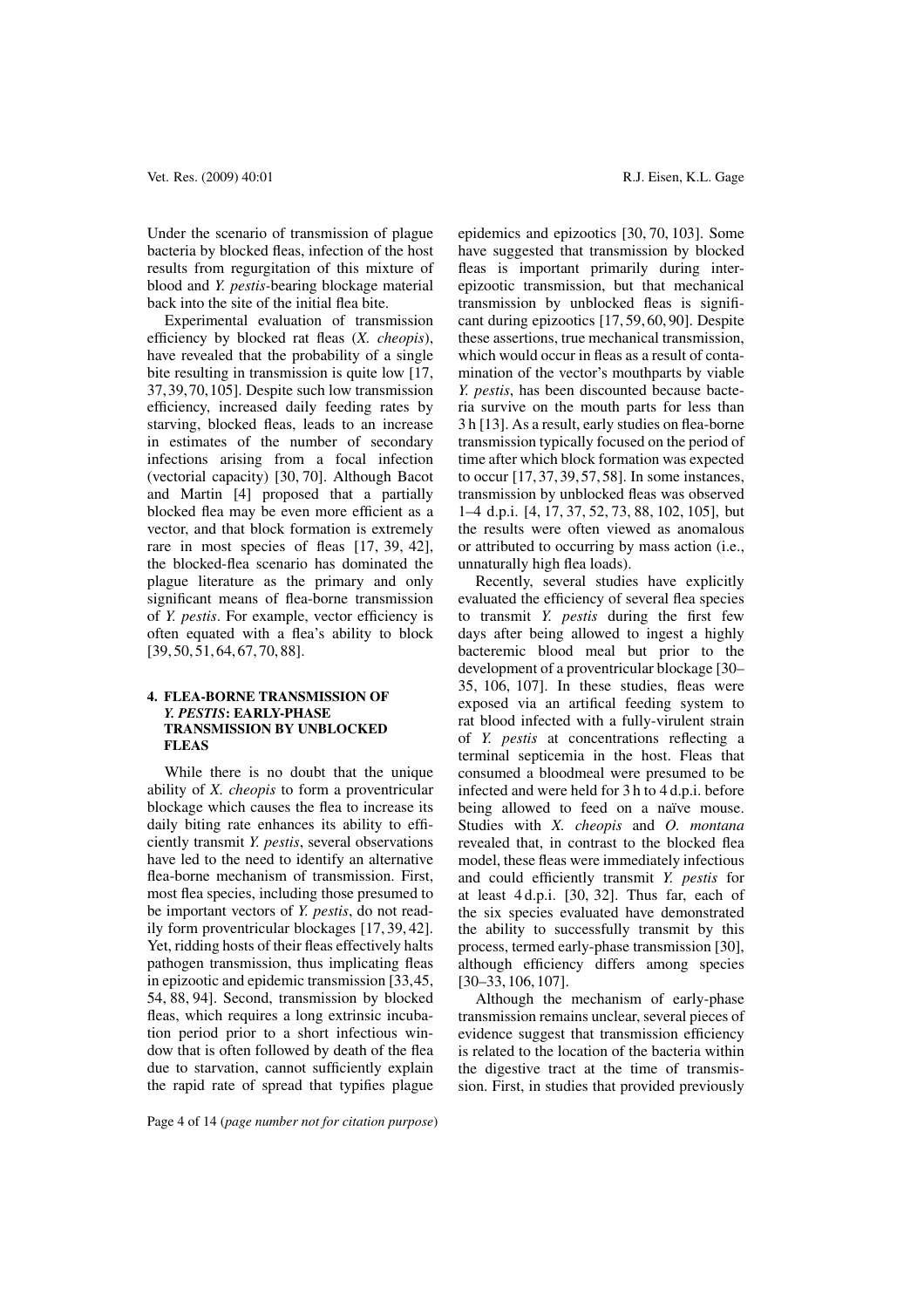Under the scenario of transmission of plague bacteria by blocked fleas, infection of the host results from regurgitation of this mixture of blood and *Y. pestis-*bearing blockage material back into the site of the initial flea bite.

Experimental evaluation of transmission efficiency by blocked rat fleas (*X. cheopis*), have revealed that the probability of a single bite resulting in transmission is quite low [17, 37, 39, 70, 105]. Despite such low transmission efficiency, increased daily feeding rates by starving, blocked fleas, leads to an increase in estimates of the number of secondary infections arising from a focal infection (vectorial capacity) [30, 70]. Although Bacot and Martin [4] proposed that a partially blocked flea may be even more efficient as a vector, and that block formation is extremely rare in most species of fleas [17, 39, 42], the blocked-flea scenario has dominated the plague literature as the primary and only significant means of flea-borne transmission of *Y. pestis*. For example, vector efficiency is often equated with a flea's ability to block [39, 50, 51, 64, 67, 70, 88].

# **4. FLEA-BORNE TRANSMISSION OF** *Y. PESTIS***: EARLY-PHASE TRANSMISSION BY UNBLOCKED FLEAS**

While there is no doubt that the unique ability of *X. cheopis* to form a proventricular blockage which causes the flea to increase its daily biting rate enhances its ability to efficiently transmit *Y. pestis*, several observations have led to the need to identify an alternative flea-borne mechanism of transmission. First, most flea species, including those presumed to be important vectors of *Y. pestis*, do not readily form proventricular blockages [17, 39, 42]. Yet, ridding hosts of their fleas effectively halts pathogen transmission, thus implicating fleas in epizootic and epidemic transmission [33,45, 54, 88, 94]. Second, transmission by blocked fleas, which requires a long extrinsic incubation period prior to a short infectious window that is often followed by death of the flea due to starvation, cannot sufficiently explain the rapid rate of spread that typifies plague

Page 4 of 14 (*page number not for citation purpose*)

epidemics and epizootics [30, 70, 103]. Some have suggested that transmission by blocked fleas is important primarily during interepizootic transmission, but that mechanical transmission by unblocked fleas is significant during epizootics [17, 59, 60, 90]. Despite these assertions, true mechanical transmission, which would occur in fleas as a result of contamination of the vector's mouthparts by viable *Y. pestis*, has been discounted because bacteria survive on the mouth parts for less than 3 h [13]. As a result, early studies on flea-borne transmission typically focused on the period of time after which block formation was expected to occur [17, 37, 39, 57, 58]. In some instances, transmission by unblocked fleas was observed 1–4 d.p.i. [4, 17, 37, 52, 73, 88, 102, 105], but the results were often viewed as anomalous or attributed to occurring by mass action (i.e., unnaturally high flea loads).

Recently, several studies have explicitly evaluated the efficiency of several flea species to transmit *Y. pestis* during the first few days after being allowed to ingest a highly bacteremic blood meal but prior to the development of a proventricular blockage [30– 35, 106, 107]. In these studies, fleas were exposed via an artifical feeding system to rat blood infected with a fully-virulent strain of *Y. pestis* at concentrations reflecting a terminal septicemia in the host. Fleas that consumed a bloodmeal were presumed to be infected and were held for 3 h to 4 d.p.i. before being allowed to feed on a naïve mouse. Studies with *X. cheopis* and *O. montana* revealed that, in contrast to the blocked flea model, these fleas were immediately infectious and could efficiently transmit *Y. pestis* for at least 4 d.p.i. [30, 32]. Thus far, each of the six species evaluated have demonstrated the ability to successfully transmit by this process, termed early-phase transmission [30], although efficiency differs among species [30–33, 106, 107].

Although the mechanism of early-phase transmission remains unclear, several pieces of evidence suggest that transmission efficiency is related to the location of the bacteria within the digestive tract at the time of transmission. First, in studies that provided previously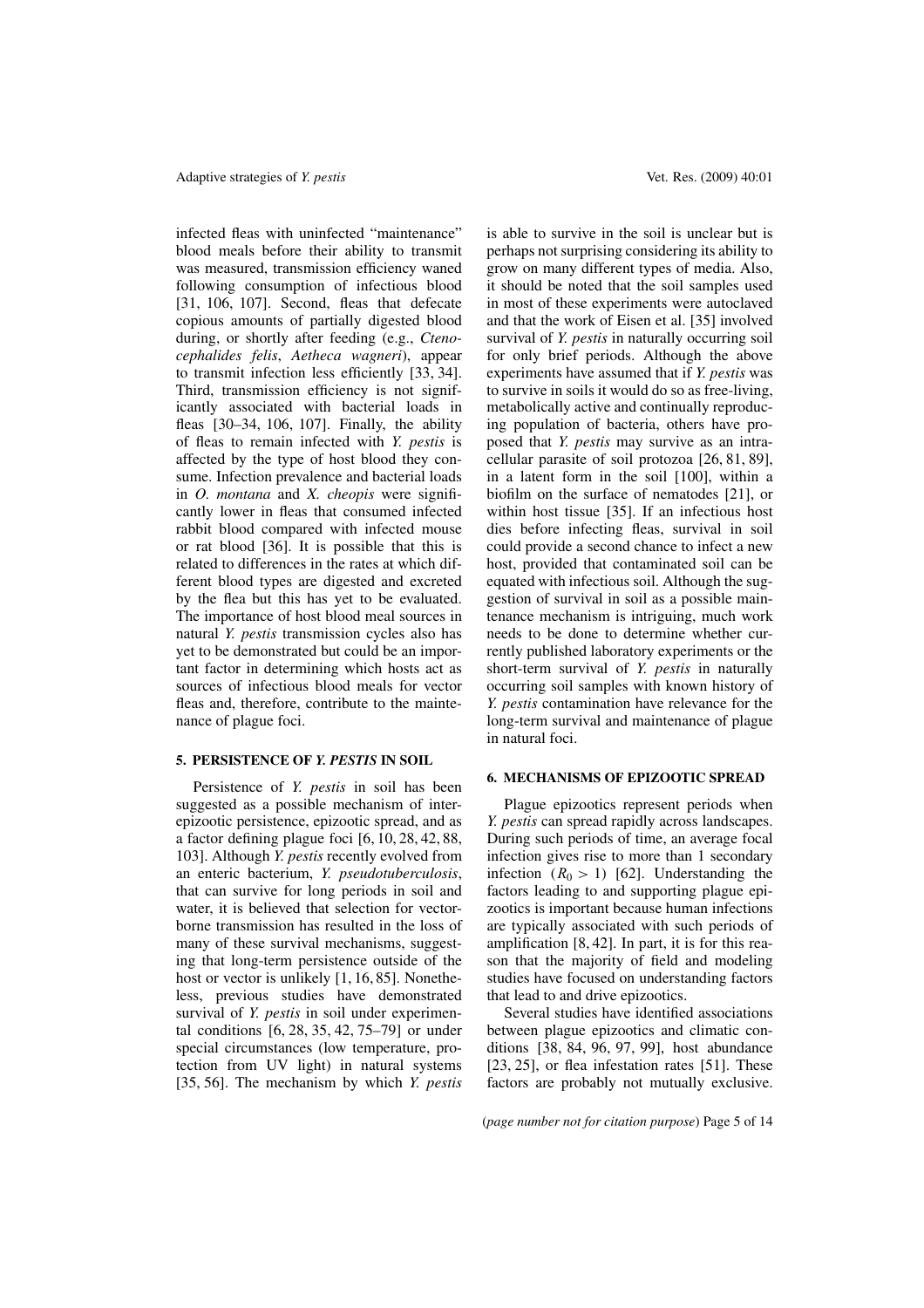infected fleas with uninfected "maintenance" blood meals before their ability to transmit was measured, transmission efficiency waned following consumption of infectious blood [31, 106, 107]. Second, fleas that defecate copious amounts of partially digested blood during, or shortly after feeding (e.g., *Ctenocephalides felis*, *Aetheca wagneri*), appear to transmit infection less efficiently [33, 34]. Third, transmission efficiency is not significantly associated with bacterial loads in fleas [30–34, 106, 107]. Finally, the ability of fleas to remain infected with *Y. pestis* is affected by the type of host blood they consume. Infection prevalence and bacterial loads in *O. montana* and *X. cheopis* were significantly lower in fleas that consumed infected rabbit blood compared with infected mouse or rat blood [36]. It is possible that this is related to differences in the rates at which different blood types are digested and excreted by the flea but this has yet to be evaluated. The importance of host blood meal sources in natural *Y. pestis* transmission cycles also has yet to be demonstrated but could be an important factor in determining which hosts act as sources of infectious blood meals for vector fleas and, therefore, contribute to the maintenance of plague foci.

# **5. PERSISTENCE OF** *Y. PESTIS* **IN SOIL**

Persistence of *Y. pestis* in soil has been suggested as a possible mechanism of interepizootic persistence, epizootic spread, and as a factor defining plague foci [6, 10, 28, 42, 88, 103]. Although *Y. pestis* recently evolved from an enteric bacterium, *Y. pseudotuberculosis*, that can survive for long periods in soil and water, it is believed that selection for vectorborne transmission has resulted in the loss of many of these survival mechanisms, suggesting that long-term persistence outside of the host or vector is unlikely [1, 16, 85]. Nonetheless, previous studies have demonstrated survival of *Y. pestis* in soil under experimental conditions [6, 28, 35, 42, 75–79] or under special circumstances (low temperature, protection from UV light) in natural systems [35, 56]. The mechanism by which *Y. pestis*

is able to survive in the soil is unclear but is perhaps not surprising considering its ability to grow on many different types of media. Also, it should be noted that the soil samples used in most of these experiments were autoclaved and that the work of Eisen et al. [35] involved survival of *Y. pestis* in naturally occurring soil for only brief periods. Although the above experiments have assumed that if *Y. pestis* was to survive in soils it would do so as free-living, metabolically active and continually reproducing population of bacteria, others have proposed that *Y. pestis* may survive as an intracellular parasite of soil protozoa [26, 81, 89], in a latent form in the soil [100], within a biofilm on the surface of nematodes [21], or within host tissue [35]. If an infectious host dies before infecting fleas, survival in soil could provide a second chance to infect a new host, provided that contaminated soil can be equated with infectious soil. Although the suggestion of survival in soil as a possible maintenance mechanism is intriguing, much work needs to be done to determine whether currently published laboratory experiments or the short-term survival of *Y. pestis* in naturally occurring soil samples with known history of *Y. pestis* contamination have relevance for the long-term survival and maintenance of plague in natural foci.

#### **6. MECHANISMS OF EPIZOOTIC SPREAD**

Plague epizootics represent periods when *Y. pestis* can spread rapidly across landscapes. During such periods of time, an average focal infection gives rise to more than 1 secondary infection  $(R_0 > 1)$  [62]. Understanding the factors leading to and supporting plague epizootics is important because human infections are typically associated with such periods of amplification [8, 42]. In part, it is for this reason that the majority of field and modeling studies have focused on understanding factors that lead to and drive epizootics.

Several studies have identified associations between plague epizootics and climatic conditions [38, 84, 96, 97, 99], host abundance [23, 25], or flea infestation rates [51]. These factors are probably not mutually exclusive.

(*page number not for citation purpose*) Page 5 of 14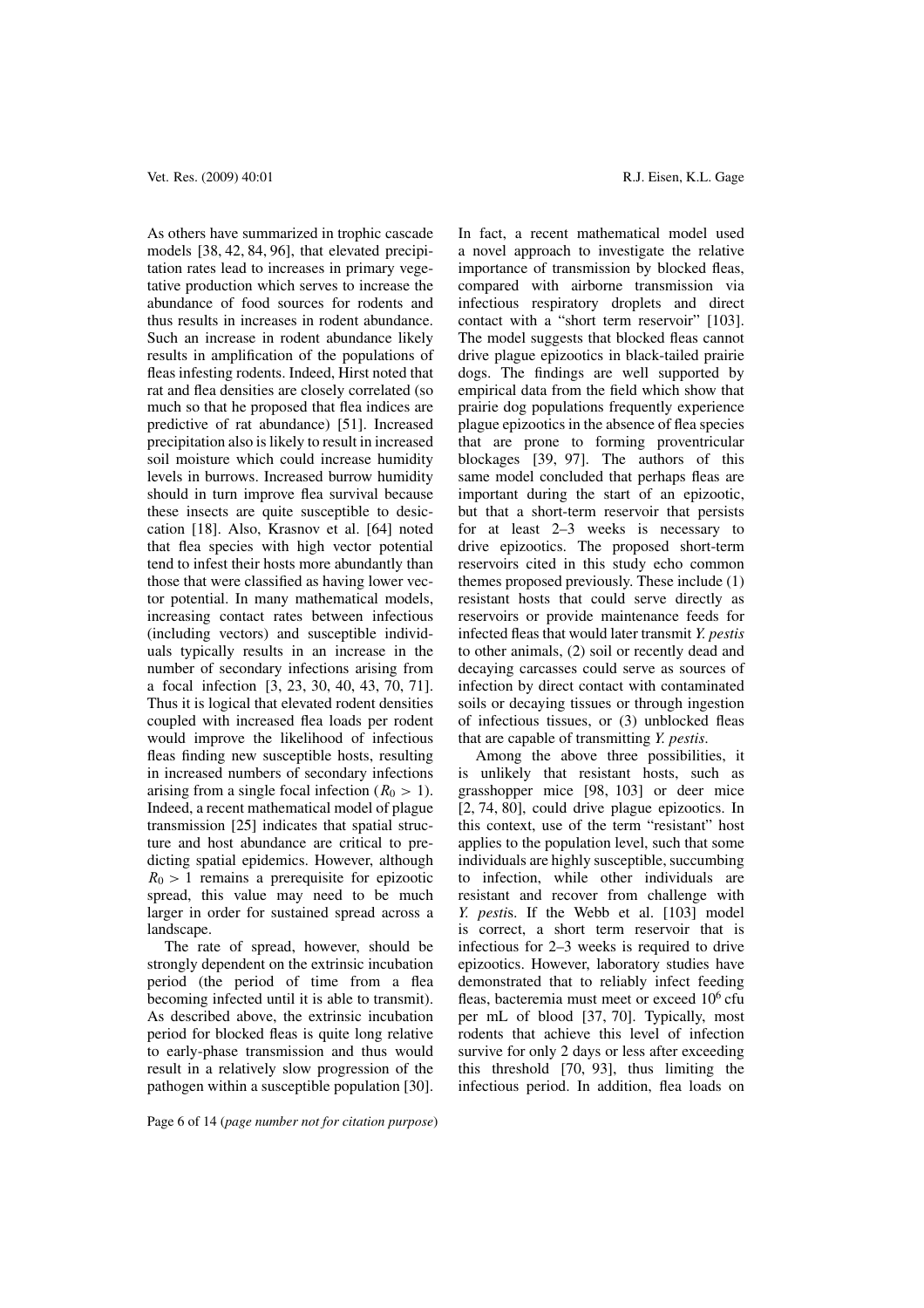As others have summarized in trophic cascade models [38, 42, 84, 96], that elevated precipitation rates lead to increases in primary vegetative production which serves to increase the abundance of food sources for rodents and thus results in increases in rodent abundance. Such an increase in rodent abundance likely results in amplification of the populations of fleas infesting rodents. Indeed, Hirst noted that rat and flea densities are closely correlated (so much so that he proposed that flea indices are predictive of rat abundance) [51]. Increased precipitation also is likely to result in increased soil moisture which could increase humidity levels in burrows. Increased burrow humidity should in turn improve flea survival because these insects are quite susceptible to desiccation [18]. Also, Krasnov et al. [64] noted that flea species with high vector potential tend to infest their hosts more abundantly than those that were classified as having lower vector potential. In many mathematical models, increasing contact rates between infectious (including vectors) and susceptible individuals typically results in an increase in the number of secondary infections arising from a focal infection [3, 23, 30, 40, 43, 70, 71]. Thus it is logical that elevated rodent densities coupled with increased flea loads per rodent would improve the likelihood of infectious fleas finding new susceptible hosts, resulting in increased numbers of secondary infections arising from a single focal infection  $(R_0 > 1)$ . Indeed, a recent mathematical model of plague transmission [25] indicates that spatial structure and host abundance are critical to predicting spatial epidemics. However, although  $R_0 > 1$  remains a prerequisite for epizootic spread, this value may need to be much larger in order for sustained spread across a landscape.

The rate of spread, however, should be strongly dependent on the extrinsic incubation period (the period of time from a flea becoming infected until it is able to transmit). As described above, the extrinsic incubation period for blocked fleas is quite long relative to early-phase transmission and thus would result in a relatively slow progression of the pathogen within a susceptible population [30].

In fact, a recent mathematical model used a novel approach to investigate the relative importance of transmission by blocked fleas, compared with airborne transmission via infectious respiratory droplets and direct contact with a "short term reservoir" [103]. The model suggests that blocked fleas cannot drive plague epizootics in black-tailed prairie dogs. The findings are well supported by empirical data from the field which show that prairie dog populations frequently experience plague epizootics in the absence of flea species that are prone to forming proventricular blockages [39, 97]. The authors of this same model concluded that perhaps fleas are important during the start of an epizootic, but that a short-term reservoir that persists for at least 2–3 weeks is necessary to drive epizootics. The proposed short-term reservoirs cited in this study echo common themes proposed previously. These include (1) resistant hosts that could serve directly as reservoirs or provide maintenance feeds for infected fleas that would later transmit *Y. pestis* to other animals, (2) soil or recently dead and decaying carcasses could serve as sources of infection by direct contact with contaminated soils or decaying tissues or through ingestion of infectious tissues, or (3) unblocked fleas that are capable of transmitting *Y. pestis*.

Among the above three possibilities, it is unlikely that resistant hosts, such as grasshopper mice [98, 103] or deer mice [2, 74, 80], could drive plague epizootics. In this context, use of the term "resistant" host applies to the population level, such that some individuals are highly susceptible, succumbing to infection, while other individuals are resistant and recover from challenge with *Y. pesti*s. If the Webb et al. [103] model is correct, a short term reservoir that is infectious for 2–3 weeks is required to drive epizootics. However, laboratory studies have demonstrated that to reliably infect feeding fleas, bacteremia must meet or exceed  $10<sup>6</sup>$  cfu per mL of blood [37, 70]. Typically, most rodents that achieve this level of infection survive for only 2 days or less after exceeding this threshold [70, 93], thus limiting the infectious period. In addition, flea loads on

Page 6 of 14 (*page number not for citation purpose*)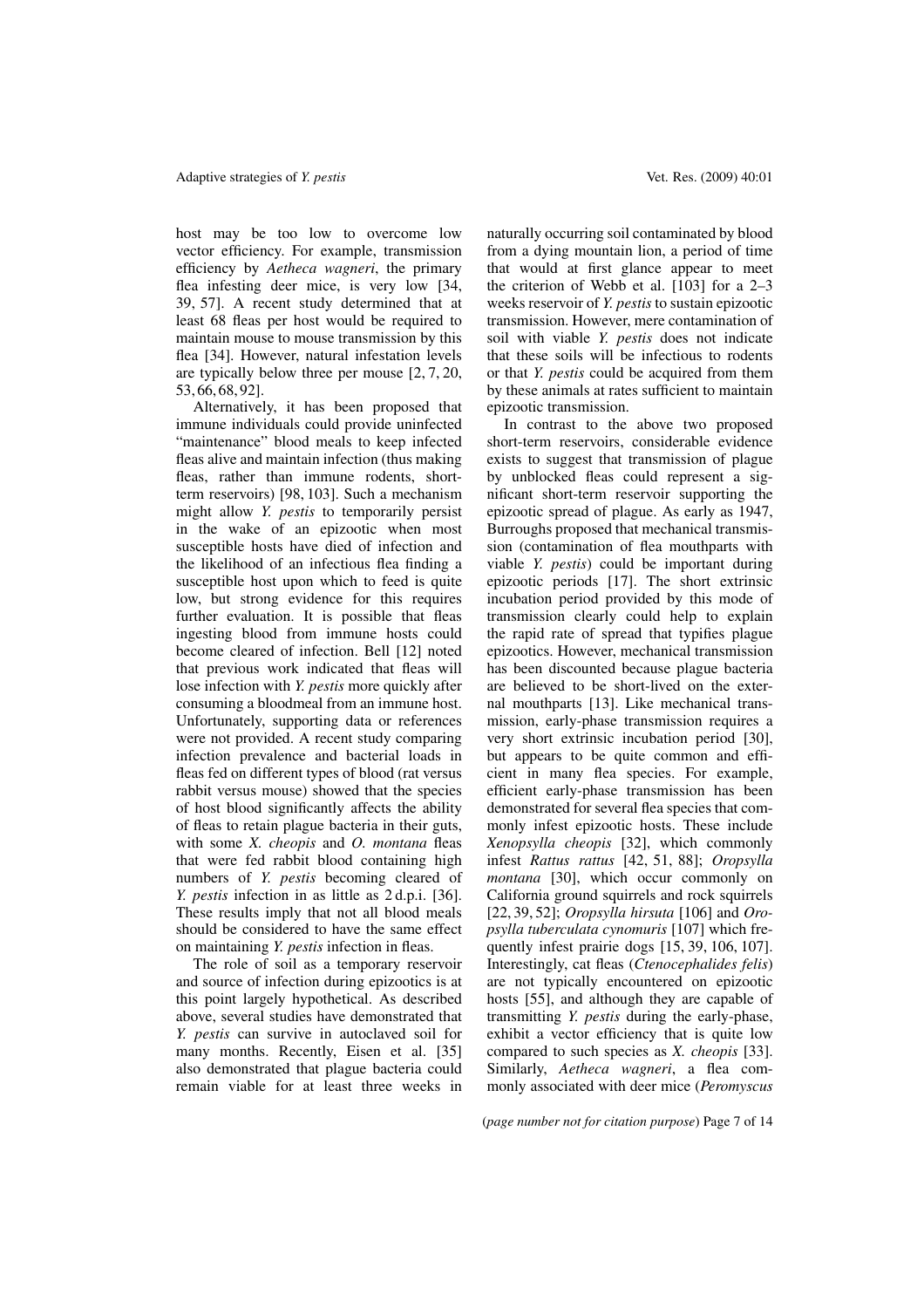host may be too low to overcome low vector efficiency. For example, transmission efficiency by *Aetheca wagneri*, the primary flea infesting deer mice, is very low [34, 39, 57]. A recent study determined that at least 68 fleas per host would be required to maintain mouse to mouse transmission by this flea [34]. However, natural infestation levels are typically below three per mouse [2, 7, 20, 53, 66, 68, 92].

Alternatively, it has been proposed that immune individuals could provide uninfected "maintenance" blood meals to keep infected fleas alive and maintain infection (thus making fleas, rather than immune rodents, shortterm reservoirs) [98, 103]. Such a mechanism might allow *Y. pestis* to temporarily persist in the wake of an epizootic when most susceptible hosts have died of infection and the likelihood of an infectious flea finding a susceptible host upon which to feed is quite low, but strong evidence for this requires further evaluation. It is possible that fleas ingesting blood from immune hosts could become cleared of infection. Bell [12] noted that previous work indicated that fleas will lose infection with *Y. pestis* more quickly after consuming a bloodmeal from an immune host. Unfortunately, supporting data or references were not provided. A recent study comparing infection prevalence and bacterial loads in fleas fed on different types of blood (rat versus rabbit versus mouse) showed that the species of host blood significantly affects the ability of fleas to retain plague bacteria in their guts, with some *X. cheopis* and *O. montana* fleas that were fed rabbit blood containing high numbers of *Y. pestis* becoming cleared of *Y. pestis* infection in as little as 2 d.p.i. [36]. These results imply that not all blood meals should be considered to have the same effect on maintaining *Y. pestis* infection in fleas.

The role of soil as a temporary reservoir and source of infection during epizootics is at this point largely hypothetical. As described above, several studies have demonstrated that *Y. pestis* can survive in autoclaved soil for many months. Recently, Eisen et al. [35] also demonstrated that plague bacteria could remain viable for at least three weeks in naturally occurring soil contaminated by blood from a dying mountain lion, a period of time that would at first glance appear to meet the criterion of Webb et al.  $\begin{bmatrix} 103 \\ 103 \end{bmatrix}$  for a 2–3 weeks reservoir of *Y. pestis* to sustain epizootic transmission. However, mere contamination of soil with viable *Y. pestis* does not indicate that these soils will be infectious to rodents or that *Y. pestis* could be acquired from them by these animals at rates sufficient to maintain epizootic transmission.

In contrast to the above two proposed short-term reservoirs, considerable evidence exists to suggest that transmission of plague by unblocked fleas could represent a significant short-term reservoir supporting the epizootic spread of plague. As early as 1947, Burroughs proposed that mechanical transmission (contamination of flea mouthparts with viable *Y. pestis*) could be important during epizootic periods [17]. The short extrinsic incubation period provided by this mode of transmission clearly could help to explain the rapid rate of spread that typifies plague epizootics. However, mechanical transmission has been discounted because plague bacteria are believed to be short-lived on the external mouthparts [13]. Like mechanical transmission, early-phase transmission requires a very short extrinsic incubation period [30], but appears to be quite common and efficient in many flea species. For example, efficient early-phase transmission has been demonstrated for several flea species that commonly infest epizootic hosts. These include *Xenopsylla cheopis* [32], which commonly infest *Rattus rattus* [42, 51, 88]; *Oropsylla montana* [30], which occur commonly on California ground squirrels and rock squirrels [22, 39, 52]; *Oropsylla hirsuta* [106] and *Oropsylla tuberculata cynomuris* [107] which frequently infest prairie dogs [15, 39, 106, 107]. Interestingly, cat fleas (*Ctenocephalides felis*) are not typically encountered on epizootic hosts [55], and although they are capable of transmitting *Y. pestis* during the early-phase, exhibit a vector efficiency that is quite low compared to such species as *X. cheopis* [33]. Similarly, *Aetheca wagneri*, a flea commonly associated with deer mice (*Peromyscus*

(*page number not for citation purpose*) Page 7 of 14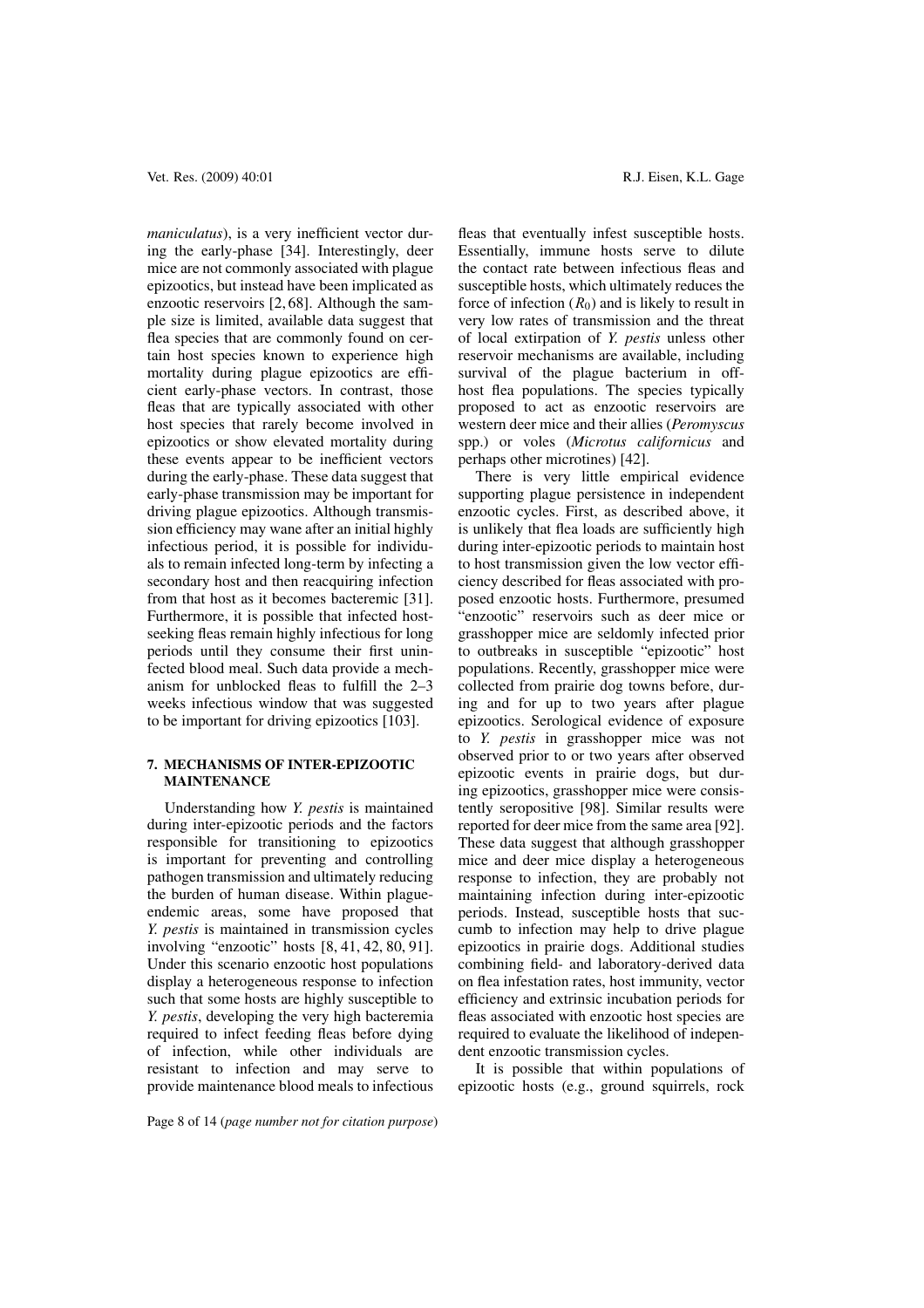*maniculatus*), is a very inefficient vector during the early-phase [34]. Interestingly, deer mice are not commonly associated with plague epizootics, but instead have been implicated as enzootic reservoirs [2, 68]. Although the sample size is limited, available data suggest that flea species that are commonly found on certain host species known to experience high mortality during plague epizootics are efficient early-phase vectors. In contrast, those fleas that are typically associated with other host species that rarely become involved in epizootics or show elevated mortality during these events appear to be inefficient vectors during the early-phase. These data suggest that early-phase transmission may be important for driving plague epizootics. Although transmission efficiency may wane after an initial highly infectious period, it is possible for individuals to remain infected long-term by infecting a secondary host and then reacquiring infection from that host as it becomes bacteremic [31]. Furthermore, it is possible that infected hostseeking fleas remain highly infectious for long periods until they consume their first uninfected blood meal. Such data provide a mechanism for unblocked fleas to fulfill the 2–3 weeks infectious window that was suggested to be important for driving epizootics [103].

# **7. MECHANISMS OF INTER-EPIZOOTIC MAINTENANCE**

Understanding how *Y. pestis* is maintained during inter-epizootic periods and the factors responsible for transitioning to epizootics is important for preventing and controlling pathogen transmission and ultimately reducing the burden of human disease. Within plagueendemic areas, some have proposed that *Y. pestis* is maintained in transmission cycles involving "enzootic" hosts [8, 41, 42, 80, 91]. Under this scenario enzootic host populations display a heterogeneous response to infection such that some hosts are highly susceptible to *Y. pestis*, developing the very high bacteremia required to infect feeding fleas before dying of infection, while other individuals are resistant to infection and may serve to provide maintenance blood meals to infectious

Vet. Res. (2009) 40:01 **R.J. Eisen, K.L. Gage** 

fleas that eventually infest susceptible hosts. Essentially, immune hosts serve to dilute the contact rate between infectious fleas and susceptible hosts, which ultimately reduces the force of infection  $(R_0)$  and is likely to result in very low rates of transmission and the threat of local extirpation of *Y. pestis* unless other reservoir mechanisms are available, including survival of the plague bacterium in offhost flea populations. The species typically proposed to act as enzootic reservoirs are western deer mice and their allies (*Peromyscus* spp.) or voles (*Microtus californicus* and perhaps other microtines) [42].

There is very little empirical evidence supporting plague persistence in independent enzootic cycles. First, as described above, it is unlikely that flea loads are sufficiently high during inter-epizootic periods to maintain host to host transmission given the low vector efficiency described for fleas associated with proposed enzootic hosts. Furthermore, presumed "enzootic" reservoirs such as deer mice or grasshopper mice are seldomly infected prior to outbreaks in susceptible "epizootic" host populations. Recently, grasshopper mice were collected from prairie dog towns before, during and for up to two years after plague epizootics. Serological evidence of exposure to *Y. pestis* in grasshopper mice was not observed prior to or two years after observed epizootic events in prairie dogs, but during epizootics, grasshopper mice were consistently seropositive [98]. Similar results were reported for deer mice from the same area [92]. These data suggest that although grasshopper mice and deer mice display a heterogeneous response to infection, they are probably not maintaining infection during inter-epizootic periods. Instead, susceptible hosts that succumb to infection may help to drive plague epizootics in prairie dogs. Additional studies combining field- and laboratory-derived data on flea infestation rates, host immunity, vector efficiency and extrinsic incubation periods for fleas associated with enzootic host species are required to evaluate the likelihood of independent enzootic transmission cycles.

It is possible that within populations of epizootic hosts (e.g., ground squirrels, rock

Page 8 of 14 (*page number not for citation purpose*)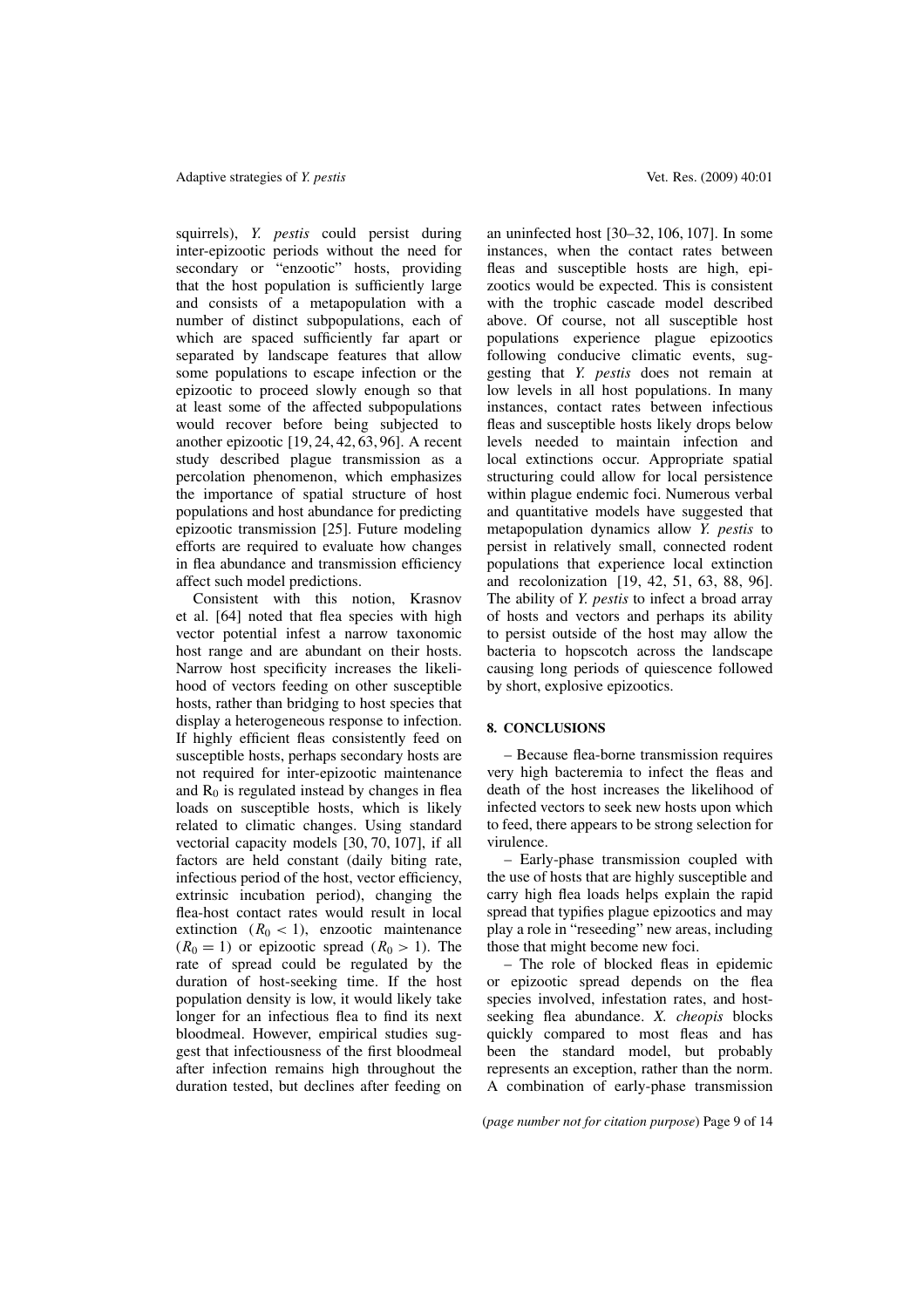squirrels), *Y. pestis* could persist during inter-epizootic periods without the need for secondary or "enzootic" hosts, providing that the host population is sufficiently large and consists of a metapopulation with a number of distinct subpopulations, each of which are spaced sufficiently far apart or separated by landscape features that allow some populations to escape infection or the epizootic to proceed slowly enough so that at least some of the affected subpopulations would recover before being subjected to another epizootic [19, 24, 42, 63, 96]. A recent study described plague transmission as a percolation phenomenon, which emphasizes the importance of spatial structure of host populations and host abundance for predicting epizootic transmission [25]. Future modeling efforts are required to evaluate how changes in flea abundance and transmission efficiency affect such model predictions.

Consistent with this notion, Krasnov et al. [64] noted that flea species with high vector potential infest a narrow taxonomic host range and are abundant on their hosts. Narrow host specificity increases the likelihood of vectors feeding on other susceptible hosts, rather than bridging to host species that display a heterogeneous response to infection. If highly efficient fleas consistently feed on susceptible hosts, perhaps secondary hosts are not required for inter-epizootic maintenance and  $R_0$  is regulated instead by changes in flea loads on susceptible hosts, which is likely related to climatic changes. Using standard vectorial capacity models [30, 70, 107], if all factors are held constant (daily biting rate, infectious period of the host, vector efficiency, extrinsic incubation period), changing the flea-host contact rates would result in local extinction  $(R_0 < 1)$ , enzootic maintenance  $(R_0 = 1)$  or epizootic spread  $(R_0 > 1)$ . The rate of spread could be regulated by the duration of host-seeking time. If the host population density is low, it would likely take longer for an infectious flea to find its next bloodmeal. However, empirical studies suggest that infectiousness of the first bloodmeal after infection remains high throughout the duration tested, but declines after feeding on

an uninfected host [30–32, 106, 107]. In some instances, when the contact rates between fleas and susceptible hosts are high, epizootics would be expected. This is consistent with the trophic cascade model described above. Of course, not all susceptible host populations experience plague epizootics following conducive climatic events, suggesting that *Y. pestis* does not remain at low levels in all host populations. In many instances, contact rates between infectious fleas and susceptible hosts likely drops below levels needed to maintain infection and local extinctions occur. Appropriate spatial structuring could allow for local persistence within plague endemic foci. Numerous verbal and quantitative models have suggested that metapopulation dynamics allow *Y. pestis* to persist in relatively small, connected rodent populations that experience local extinction and recolonization [19, 42, 51, 63, 88, 96]. The ability of *Y. pestis* to infect a broad array of hosts and vectors and perhaps its ability to persist outside of the host may allow the bacteria to hopscotch across the landscape causing long periods of quiescence followed by short, explosive epizootics.

# **8. CONCLUSIONS**

– Because flea-borne transmission requires very high bacteremia to infect the fleas and death of the host increases the likelihood of infected vectors to seek new hosts upon which to feed, there appears to be strong selection for virulence.

– Early-phase transmission coupled with the use of hosts that are highly susceptible and carry high flea loads helps explain the rapid spread that typifies plague epizootics and may play a role in "reseeding" new areas, including those that might become new foci.

– The role of blocked fleas in epidemic or epizootic spread depends on the flea species involved, infestation rates, and hostseeking flea abundance. *X. cheopis* blocks quickly compared to most fleas and has been the standard model, but probably represents an exception, rather than the norm. A combination of early-phase transmission

(*page number not for citation purpose*) Page 9 of 14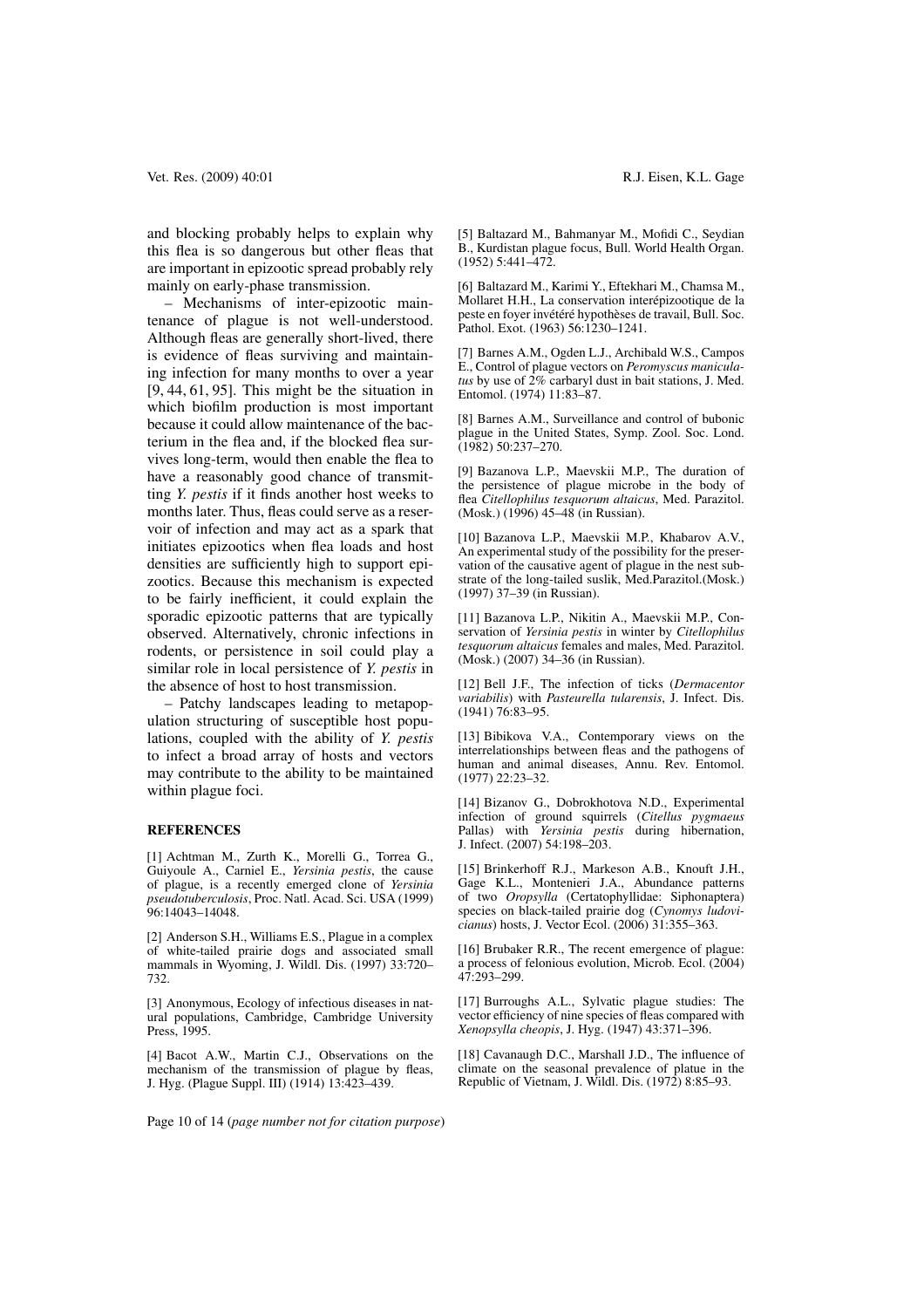and blocking probably helps to explain why this flea is so dangerous but other fleas that are important in epizootic spread probably rely mainly on early-phase transmission.

– Mechanisms of inter-epizootic maintenance of plague is not well-understood. Although fleas are generally short-lived, there is evidence of fleas surviving and maintaining infection for many months to over a year [9, 44, 61, 95]. This might be the situation in which biofilm production is most important because it could allow maintenance of the bacterium in the flea and, if the blocked flea survives long-term, would then enable the flea to have a reasonably good chance of transmitting *Y. pestis* if it finds another host weeks to months later. Thus, fleas could serve as a reservoir of infection and may act as a spark that initiates epizootics when flea loads and host densities are sufficiently high to support epizootics. Because this mechanism is expected to be fairly inefficient, it could explain the sporadic epizootic patterns that are typically observed. Alternatively, chronic infections in rodents, or persistence in soil could play a similar role in local persistence of *Y. pestis* in the absence of host to host transmission.

– Patchy landscapes leading to metapopulation structuring of susceptible host populations, coupled with the ability of *Y. pestis* to infect a broad array of hosts and vectors may contribute to the ability to be maintained within plague foci.

#### **REFERENCES**

[1] Achtman M., Zurth K., Morelli G., Torrea G., Guiyoule A., Carniel E., *Yersinia pestis*, the cause of plague, is a recently emerged clone of *Yersinia pseudotuberculosis*, Proc. Natl. Acad. Sci. USA (1999) 96:14043–14048.

[2] Anderson S.H., Williams E.S., Plague in a complex of white-tailed prairie dogs and associated small mammals in Wyoming, J. Wildl. Dis. (1997) 33:720– 732.

[3] Anonymous, Ecology of infectious diseases in natural populations, Cambridge, Cambridge University Press, 1995.

[4] Bacot A.W., Martin C.J., Observations on the mechanism of the transmission of plague by fleas, J. Hyg. (Plague Suppl. III) (1914) 13:423–439.

[5] Baltazard M., Bahmanyar M., Mofidi C., Seydian B., Kurdistan plague focus, Bull. World Health Organ. (1952) 5:441–472.

[6] Baltazard M., Karimi Y., Eftekhari M., Chamsa M., Mollaret H.H., La conservation interépizootique de la peste en foyer invétéré hypothèses de travail, Bull. Soc. Pathol. Exot. (1963) 56:1230–1241.

[7] Barnes A.M., Ogden L.J., Archibald W.S., Campos E., Control of plague vectors on *Peromyscus maniculatus* by use of 2% carbaryl dust in bait stations, J. Med. Entomol. (1974) 11:83–87.

[8] Barnes A.M., Surveillance and control of bubonic plague in the United States, Symp. Zool. Soc. Lond. (1982) 50:237–270.

[9] Bazanova L.P., Maevskii M.P., The duration of the persistence of plague microbe in the body of flea *Citellophilus tesquorum altaicus*, Med. Parazitol. (Mosk.) (1996) 45–48 (in Russian).

[10] Bazanova L.P., Maevskii M.P., Khabarov A.V., An experimental study of the possibility for the preservation of the causative agent of plague in the nest substrate of the long-tailed suslik, Med.Parazitol.(Mosk.) (1997) 37–39 (in Russian).

[11] Bazanova L.P., Nikitin A., Maevskii M.P., Conservation of *Yersinia pestis* in winter by *Citellophilus tesquorum altaicus* females and males, Med. Parazitol. (Mosk.) (2007) 34–36 (in Russian).

[12] Bell J.F., The infection of ticks (*Dermacentor variabilis*) with *Pasteurella tularensis*, J. Infect. Dis. (1941) 76:83–95.

[13] Bibikova V.A., Contemporary views on the interrelationships between fleas and the pathogens of human and animal diseases, Annu. Rev. Entomol. (1977) 22:23–32.

[14] Bizanov G., Dobrokhotova N.D., Experimental infection of ground squirrels (*Citellus pygmaeus* Pallas) with *Yersinia pestis* during hibernation, J. Infect. (2007) 54:198–203.

[15] Brinkerhoff R.J., Markeson A.B., Knouft J.H., Gage K.L., Montenieri J.A., Abundance patterns of two *Oropsylla* (Certatophyllidae: Siphonaptera) species on black-tailed prairie dog (*Cynomys ludovicianus*) hosts, J. Vector Ecol. (2006) 31:355–363.

[16] Brubaker R.R., The recent emergence of plague: a process of felonious evolution, Microb. Ecol. (2004) 47:293–299.

[17] Burroughs A.L., Sylvatic plague studies: The vector efficiency of nine species of fleas compared with *Xenopsylla cheopis*, J. Hyg. (1947) 43:371–396.

[18] Cavanaugh D.C., Marshall J.D., The influence of climate on the seasonal prevalence of platue in the Republic of Vietnam, J. Wildl. Dis. (1972) 8:85–93.

Page 10 of 14 (*page number not for citation purpose*)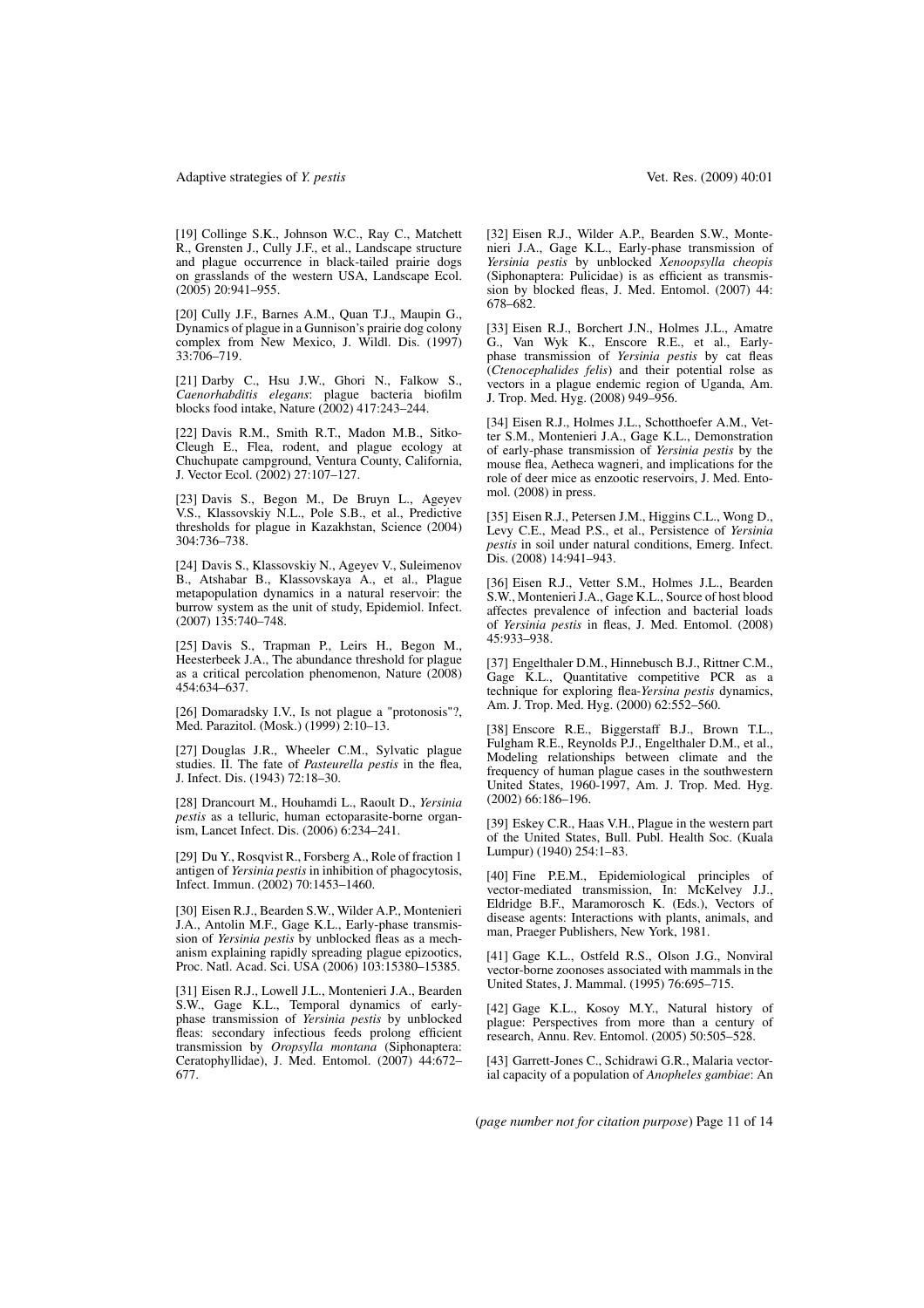#### Adaptive strategies of *Y. pestis* Vet. Res. (2009) 40:01

[19] Collinge S.K., Johnson W.C., Ray C., Matchett R., Grensten J., Cully J.F., et al., Landscape structure and plague occurrence in black-tailed prairie dogs on grasslands of the western USA, Landscape Ecol. (2005) 20:941–955.

[20] Cully J.F., Barnes A.M., Quan T.J., Maupin G., Dynamics of plague in a Gunnison's prairie dog colony complex from New Mexico, J. Wildl. Dis. (1997) 33:706–719.

[21] Darby C., Hsu J.W., Ghori N., Falkow S., *Caenorhabditis elegans*: plague bacteria biofilm blocks food intake, Nature (2002) 417:243–244.

[22] Davis R.M., Smith R.T., Madon M.B., Sitko-Cleugh E., Flea, rodent, and plague ecology at Chuchupate campground, Ventura County, California, J. Vector Ecol. (2002) 27:107–127.

[23] Davis S., Begon M., De Bruyn L., Ageyev V.S., Klassovskiy N.L., Pole S.B., et al., Predictive thresholds for plague in Kazakhstan, Science (2004) 304:736–738.

[24] Davis S., Klassovskiy N., Ageyev V., Suleimenov B., Atshabar B., Klassovskaya A., et al., Plague metapopulation dynamics in a natural reservoir: the burrow system as the unit of study, Epidemiol. Infect. (2007) 135:740–748.

[25] Davis S., Trapman P., Leirs H., Begon M., Heesterbeek J.A., The abundance threshold for plague as a critical percolation phenomenon, Nature (2008) 454:634–637.

[26] Domaradsky I.V., Is not plague a "protonosis"?, Med. Parazitol. (Mosk.) (1999) 2:10–13.

[27] Douglas J.R., Wheeler C.M., Sylvatic plague studies. II. The fate of *Pasteurella pestis* in the flea, J. Infect. Dis. (1943) 72:18–30.

[28] Drancourt M., Houhamdi L., Raoult D., *Yersinia pestis* as a telluric, human ectoparasite-borne organism, Lancet Infect. Dis. (2006) 6:234–241.

[29] Du Y., Rosqvist R., Forsberg A., Role of fraction 1 antigen of *Yersinia pestis* in inhibition of phagocytosis, Infect. Immun. (2002) 70:1453–1460.

[30] Eisen R.J., Bearden S.W., Wilder A.P., Montenieri J.A., Antolin M.F., Gage K.L., Early-phase transmission of *Yersinia pestis* by unblocked fleas as a mechanism explaining rapidly spreading plague epizootics, Proc. Natl. Acad. Sci. USA (2006) 103:15380–15385.

[31] Eisen R.J., Lowell J.L., Montenieri J.A., Bearden S.W., Gage K.L., Temporal dynamics of earlyphase transmission of *Yersinia pestis* by unblocked fleas: secondary infectious feeds prolong efficient transmission by *Oropsylla montana* (Siphonaptera: Ceratophyllidae), J. Med. Entomol. (2007) 44:672– 677.

[32] Eisen R.J., Wilder A.P., Bearden S.W., Montenieri J.A., Gage K.L., Early-phase transmission of *Yersinia pestis* by unblocked *Xenoopsylla cheopis* (Siphonaptera: Pulicidae) is as efficient as transmission by blocked fleas, J. Med. Entomol. (2007) 44: 678–682.

[33] Eisen R.J., Borchert J.N., Holmes J.L., Amatre G., Van Wyk K., Enscore R.E., et al., Earlyphase transmission of *Yersinia pestis* by cat fleas (*Ctenocephalides felis*) and their potential rolse as vectors in a plague endemic region of Uganda, Am. J. Trop. Med. Hyg. (2008) 949–956.

[34] Eisen R.J., Holmes J.L., Schotthoefer A.M., Vetter S.M., Montenieri J.A., Gage K.L., Demonstration of early-phase transmission of *Yersinia pestis* by the mouse flea, Aetheca wagneri, and implications for the role of deer mice as enzootic reservoirs, J. Med. Entomol. (2008) in press.

[35] Eisen R.J., Petersen J.M., Higgins C.L., Wong D., Levy C.E., Mead P.S., et al., Persistence of *Yersinia pestis* in soil under natural conditions, Emerg. Infect. Dis. (2008) 14:941–943.

[36] Eisen R.J., Vetter S.M., Holmes J.L., Bearden S.W., Montenieri J.A., Gage K.L., Source of host blood affectes prevalence of infection and bacterial loads of *Yersinia pestis* in fleas, J. Med. Entomol. (2008) 45:933–938.

[37] Engelthaler D.M., Hinnebusch B.J., Rittner C.M., Gage K.L., Quantitative competitive PCR as a technique for exploring flea-*Yersina pestis* dynamics, Am. J. Trop. Med. Hyg. (2000) 62:552–560.

[38] Enscore R.E., Biggerstaff B.J., Brown T.L., Fulgham R.E., Reynolds P.J., Engelthaler D.M., et al., Modeling relationships between climate and the frequency of human plague cases in the southwestern United States, 1960-1997, Am. J. Trop. Med. Hyg. (2002) 66:186–196.

[39] Eskey C.R., Haas V.H., Plague in the western part of the United States, Bull. Publ. Health Soc. (Kuala Lumpur) (1940) 254:1–83.

[40] Fine P.E.M., Epidemiological principles of vector-mediated transmission, In: McKelvey J.J., Eldridge B.F., Maramorosch K. (Eds.), Vectors of disease agents: Interactions with plants, animals, and man, Praeger Publishers, New York, 1981.

[41] Gage K.L., Ostfeld R.S., Olson J.G., Nonviral vector-borne zoonoses associated with mammals in the United States, J. Mammal. (1995) 76:695–715.

[42] Gage K.L., Kosoy M.Y., Natural history of plague: Perspectives from more than a century of research, Annu. Rev. Entomol. (2005) 50:505–528.

[43] Garrett-Jones C., Schidrawi G.R., Malaria vectorial capacity of a population of *Anopheles gambiae*: An

(*page number not for citation purpose*) Page 11 of 14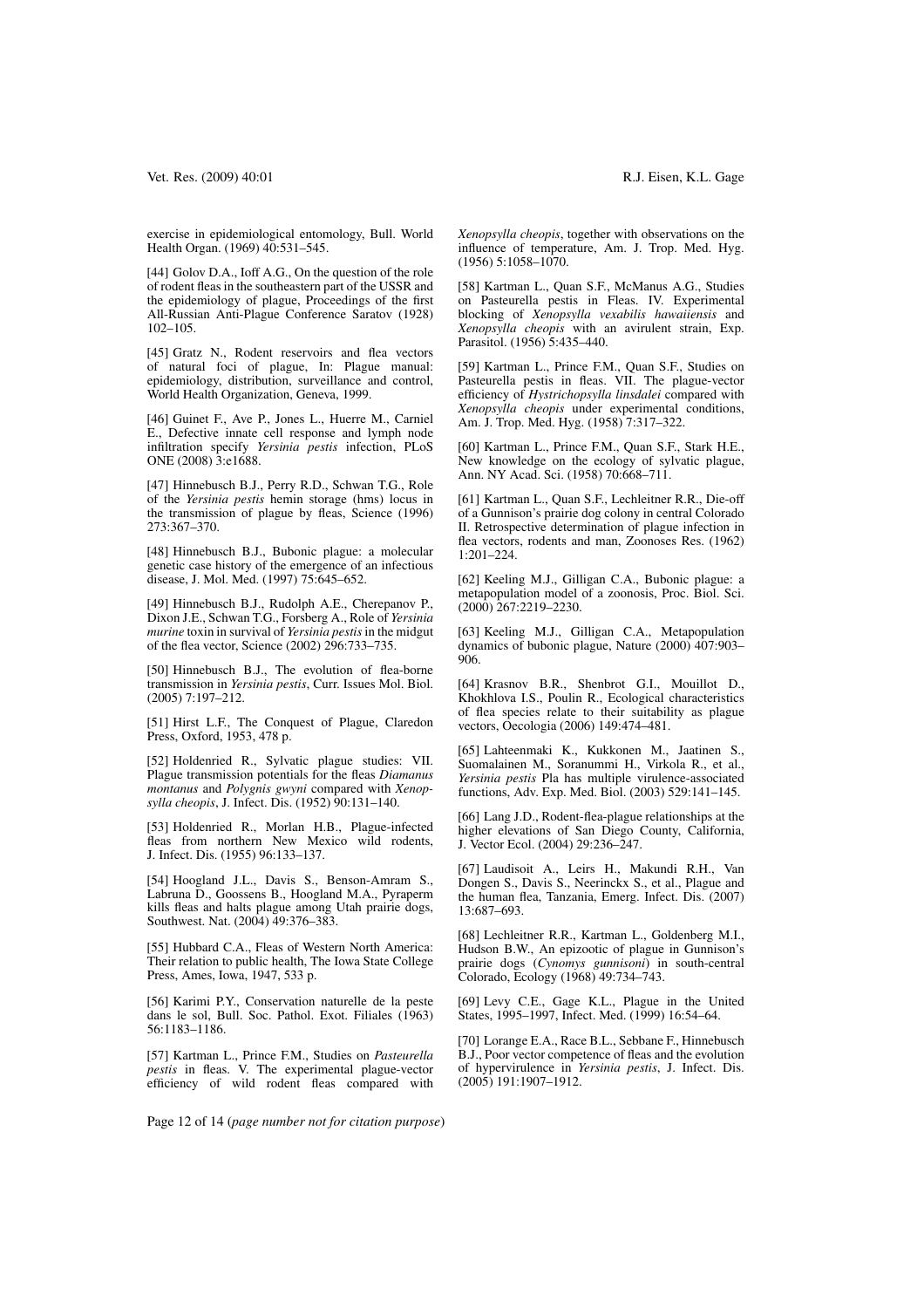exercise in epidemiological entomology, Bull. World Health Organ. (1969) 40:531–545.

[44] Golov D.A., Ioff A.G., On the question of the role of rodent fleas in the southeastern part of the USSR and the epidemiology of plague, Proceedings of the first All-Russian Anti-Plague Conference Saratov (1928) 102–105.

[45] Gratz N., Rodent reservoirs and flea vectors of natural foci of plague, In: Plague manual: epidemiology, distribution, surveillance and control, World Health Organization, Geneva, 1999.

[46] Guinet F., Ave P., Jones L., Huerre M., Carniel E., Defective innate cell response and lymph node infiltration specify *Yersinia pestis* infection, PLoS ONE (2008) 3:e1688.

[47] Hinnebusch B.J., Perry R.D., Schwan T.G., Role of the *Yersinia pestis* hemin storage (hms) locus in the transmission of plague by fleas, Science (1996) 273:367–370.

[48] Hinnebusch B.J., Bubonic plague: a molecular genetic case history of the emergence of an infectious disease, J. Mol. Med. (1997) 75:645–652.

[49] Hinnebusch B.J., Rudolph A.E., Cherepanov P., Dixon J.E., Schwan T.G., Forsberg A., Role of *Yersinia murine* toxin in survival of *Yersinia pestis*in the midgut of the flea vector, Science (2002) 296:733–735.

[50] Hinnebusch B.J., The evolution of flea-borne transmission in *Yersinia pestis*, Curr. Issues Mol. Biol. (2005) 7:197–212.

[51] Hirst L.F., The Conquest of Plague, Claredon Press, Oxford, 1953, 478 p.

[52] Holdenried R., Sylvatic plague studies: VII. Plague transmission potentials for the fleas *Diamanus montanus* and *Polygnis gwyni* compared with *Xenopsylla cheopis*, J. Infect. Dis. (1952) 90:131–140.

[53] Holdenried R., Morlan H.B., Plague-infected fleas from northern New Mexico wild rodents, J. Infect. Dis. (1955) 96:133–137.

[54] Hoogland J.L., Davis S., Benson-Amram S., Labruna D., Goossens B., Hoogland M.A., Pyraperm kills fleas and halts plague among Utah prairie dogs, Southwest. Nat. (2004) 49:376–383.

[55] Hubbard C.A., Fleas of Western North America: Their relation to public health, The Iowa State College Press, Ames, Iowa, 1947, 533 p.

[56] Karimi P.Y., Conservation naturelle de la peste dans le sol, Bull. Soc. Pathol. Exot. Filiales (1963) 56:1183–1186.

[57] Kartman L., Prince F.M., Studies on *Pasteurella pestis* in fleas. V. The experimental plague-vector efficiency of wild rodent fleas compared with *Xenopsylla cheopis*, together with observations on the influence of temperature, Am. J. Trop. Med. Hyg. (1956) 5:1058–1070.

[58] Kartman L., Quan S.F., McManus A.G., Studies on Pasteurella pestis in Fleas. IV. Experimental blocking of *Xenopsylla vexabilis hawaiiensis* and *Xenopsylla cheopis* with an avirulent strain, Exp. Parasitol. (1956) 5:435–440.

[59] Kartman L., Prince F.M., Quan S.F., Studies on Pasteurella pestis in fleas. VII. The plague-vector efficiency of *Hystrichopsylla linsdalei* compared with *Xenopsylla cheopis* under experimental conditions, Am. J. Trop. Med. Hyg. (1958) 7:317–322.

[60] Kartman L., Prince F.M., Quan S.F., Stark H.E., New knowledge on the ecology of sylvatic plague, Ann. NY Acad. Sci. (1958) 70:668–711.

[61] Kartman L., Quan S.F., Lechleitner R.R., Die-off of a Gunnison's prairie dog colony in central Colorado II. Retrospective determination of plague infection in flea vectors, rodents and man, Zoonoses Res. (1962) 1:201–224.

[62] Keeling M.J., Gilligan C.A., Bubonic plague: a metapopulation model of a zoonosis, Proc. Biol. Sci. (2000) 267:2219–2230.

[63] Keeling M.J., Gilligan C.A., Metapopulation dynamics of bubonic plague, Nature (2000) 407:903– 906.

[64] Krasnov B.R., Shenbrot G.I., Mouillot D., Khokhlova I.S., Poulin R., Ecological characteristics of flea species relate to their suitability as plague vectors, Oecologia (2006) 149:474–481.

[65] Lahteenmaki K., Kukkonen M., Jaatinen S., Suomalainen M., Soranummi H., Virkola R., et al., *Yersinia pestis* Pla has multiple virulence-associated functions, Adv. Exp. Med. Biol. (2003) 529:141–145.

[66] Lang J.D., Rodent-flea-plague relationships at the higher elevations of San Diego County, California, J. Vector Ecol. (2004) 29:236–247.

[67] Laudisoit A., Leirs H., Makundi R.H., Van Dongen S., Davis S., Neerinckx S., et al., Plague and the human flea, Tanzania, Emerg. Infect. Dis. (2007) 13:687–693.

[68] Lechleitner R.R., Kartman L., Goldenberg M.I., Hudson B.W., An epizootic of plague in Gunnison's prairie dogs (*Cynomys gunnisoni*) in south-central Colorado, Ecology (1968) 49:734–743.

[69] Levy C.E., Gage K.L., Plague in the United States, 1995–1997, Infect. Med. (1999) 16:54–64.

[70] Lorange E.A., Race B.L., Sebbane F., Hinnebusch B.J., Poor vector competence of fleas and the evolution of hypervirulence in *Yersinia pestis*, J. Infect. Dis. (2005) 191:1907–1912.

Page 12 of 14 (*page number not for citation purpose*)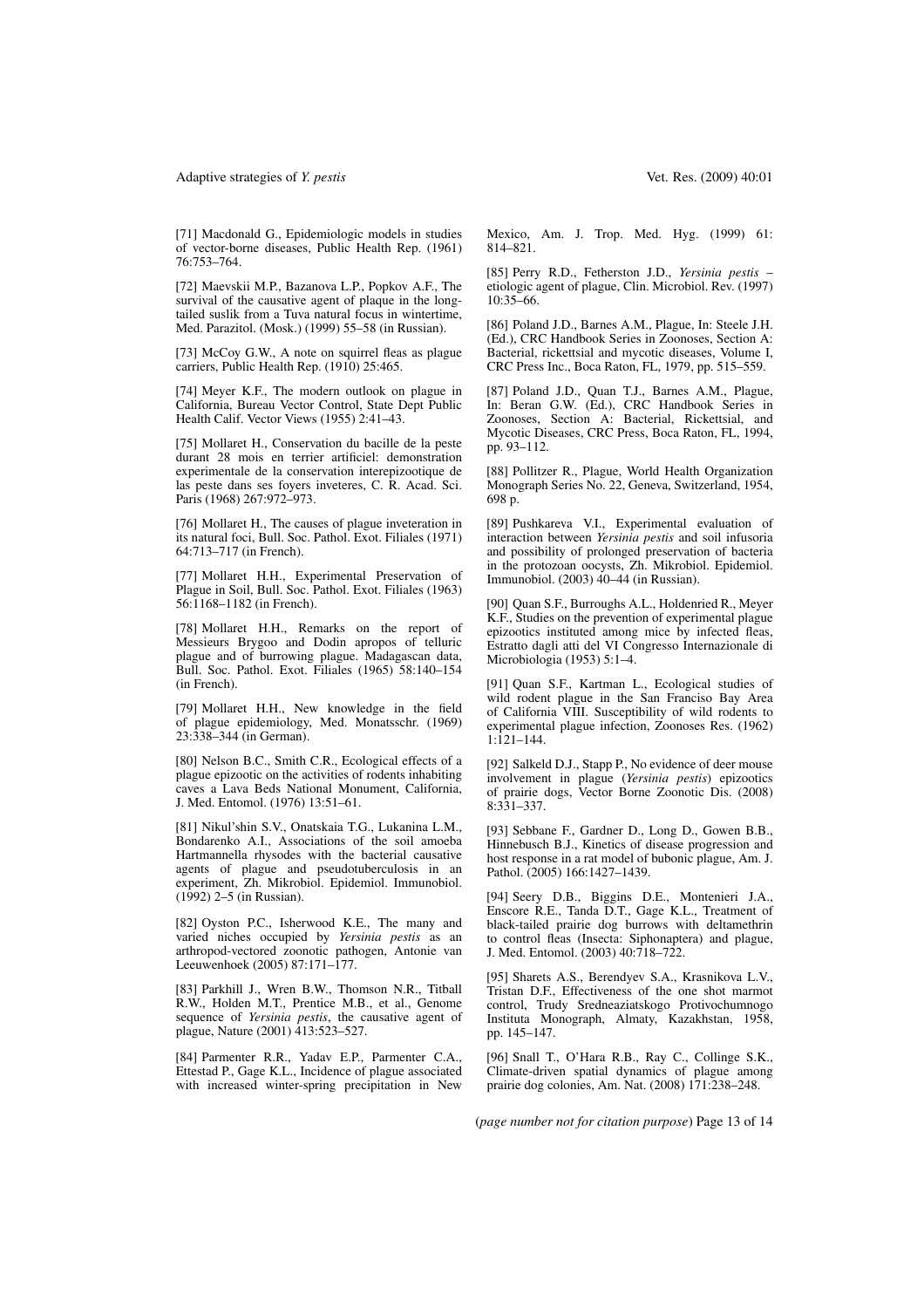#### Adaptive strategies of *Y. pestis* Vet. Res. (2009) 40:01

[71] Macdonald G., Epidemiologic models in studies of vector-borne diseases, Public Health Rep. (1961) 76:753–764.

[72] Maevskii M.P., Bazanova L.P., Popkov A.F., The survival of the causative agent of plaque in the longtailed suslik from a Tuva natural focus in wintertime, Med. Parazitol. (Mosk.) (1999) 55–58 (in Russian).

[73] McCoy G.W., A note on squirrel fleas as plague carriers, Public Health Rep. (1910) 25:465.

[74] Meyer K.F., The modern outlook on plague in California, Bureau Vector Control, State Dept Public Health Calif. Vector Views (1955) 2:41–43.

[75] Mollaret H., Conservation du bacille de la peste durant 28 mois en terrier artificiel: demonstration experimentale de la conservation interepizootique de las peste dans ses foyers inveteres, C. R. Acad. Sci. Paris (1968) 267:972-973.

[76] Mollaret H., The causes of plague inveteration in its natural foci, Bull. Soc. Pathol. Exot. Filiales (1971) 64:713–717 (in French).

[77] Mollaret H.H., Experimental Preservation of Plague in Soil, Bull. Soc. Pathol. Exot. Filiales (1963) 56:1168–1182 (in French).

[78] Mollaret H.H., Remarks on the report of Messieurs Brygoo and Dodin apropos of telluric plague and of burrowing plague. Madagascan data, Bull. Soc. Pathol. Exot. Filiales (1965) 58:140–154 (in French).

[79] Mollaret H.H., New knowledge in the field of plague epidemiology, Med. Monatsschr. (1969) 23:338–344 (in German).

[80] Nelson B.C., Smith C.R., Ecological effects of a plague epizootic on the activities of rodents inhabiting caves a Lava Beds National Monument, California, J. Med. Entomol. (1976) 13:51–61.

[81] Nikul'shin S.V., Onatskaia T.G., Lukanina L.M., Bondarenko A.I., Associations of the soil amoeba Hartmannella rhysodes with the bacterial causative agents of plague and pseudotuberculosis in an experiment, Zh. Mikrobiol. Epidemiol. Immunobiol. (1992) 2–5 (in Russian).

[82] Oyston P.C., Isherwood K.E., The many and varied niches occupied by *Yersinia pestis* as an arthropod-vectored zoonotic pathogen, Antonie van Leeuwenhoek (2005) 87:171–177.

[83] Parkhill J., Wren B.W., Thomson N.R., Titball R.W., Holden M.T., Prentice M.B., et al., Genome sequence of *Yersinia pestis*, the causative agent of plague, Nature (2001) 413:523–527.

[84] Parmenter R.R., Yadav E.P., Parmenter C.A., Ettestad P., Gage K.L., Incidence of plague associated with increased winter-spring precipitation in New Mexico, Am. J. Trop. Med. Hyg. (1999) 61:

[85] Perry R.D., Fetherston J.D., *Yersinia pestis* – etiologic agent of plague, Clin. Microbiol. Rev. (1997) 10:35–66.

814–821.

[86] Poland J.D., Barnes A.M., Plague, In: Steele J.H. (Ed.), CRC Handbook Series in Zoonoses, Section A: Bacterial, rickettsial and mycotic diseases, Volume I, CRC Press Inc., Boca Raton, FL, 1979, pp. 515–559.

[87] Poland J.D., Quan T.J., Barnes A.M., Plague, In: Beran G.W. (Ed.), CRC Handbook Series in Zoonoses, Section A: Bacterial, Rickettsial, and Mycotic Diseases, CRC Press, Boca Raton, FL, 1994, pp. 93–112.

[88] Pollitzer R., Plague, World Health Organization Monograph Series No. 22, Geneva, Switzerland, 1954, 698 p.

[89] Pushkareva V.I., Experimental evaluation of interaction between *Yersinia pestis* and soil infusoria and possibility of prolonged preservation of bacteria in the protozoan oocysts, Zh. Mikrobiol. Epidemiol. Immunobiol. (2003) 40–44 (in Russian).

[90] Quan S.F., Burroughs A.L., Holdenried R., Meyer K.F., Studies on the prevention of experimental plague epizootics instituted among mice by infected fleas, Estratto dagli atti del VI Congresso Internazionale di Microbiologia (1953) 5:1–4.

[91] Quan S.F., Kartman L., Ecological studies of wild rodent plague in the San Franciso Bay Area of California VIII. Susceptibility of wild rodents to experimental plague infection, Zoonoses Res. (1962) 1:121–144.

[92] Salkeld D.J., Stapp P., No evidence of deer mouse involvement in plague (*Yersinia pestis*) epizootics of prairie dogs, Vector Borne Zoonotic Dis. (2008) 8:331–337.

[93] Sebbane F., Gardner D., Long D., Gowen B.B., Hinnebusch B.J., Kinetics of disease progression and host response in a rat model of bubonic plague, Am. J. Pathol. (2005) 166:1427–1439.

[94] Seery D.B., Biggins D.E., Montenieri J.A., Enscore R.E., Tanda D.T., Gage K.L., Treatment of black-tailed prairie dog burrows with deltamethrin to control fleas (Insecta: Siphonaptera) and plague, J. Med. Entomol. (2003) 40:718–722.

[95] Sharets A.S., Berendyev S.A., Krasnikova L.V., Tristan D.F., Effectiveness of the one shot marmot control, Trudy Sredneaziatskogo Protivochumnogo Instituta Monograph, Almaty, Kazakhstan, 1958, pp. 145–147.

[96] Snall T., O'Hara R.B., Ray C., Collinge S.K., Climate-driven spatial dynamics of plague among prairie dog colonies, Am. Nat. (2008) 171:238–248.

(*page number not for citation purpose*) Page 13 of 14